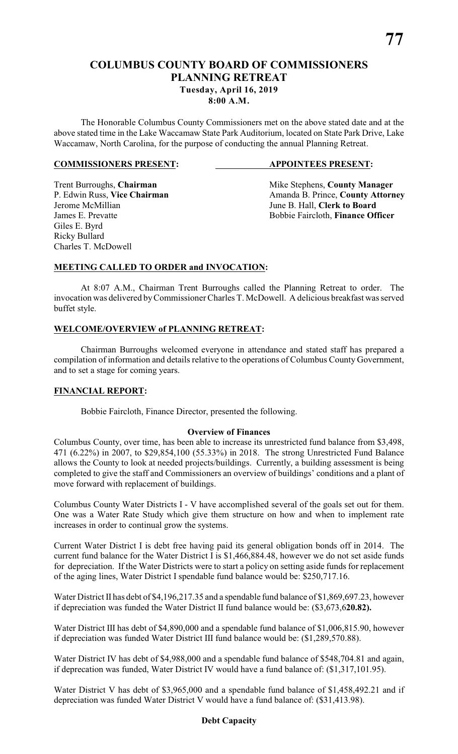# **COLUMBUS COUNTY BOARD OF COMMISSIONERS PLANNING RETREAT Tuesday, April 16, 2019 8:00 A.M.**

The Honorable Columbus County Commissioners met on the above stated date and at the above stated time in the Lake Waccamaw State Park Auditorium, located on State Park Drive, Lake Waccamaw, North Carolina, for the purpose of conducting the annual Planning Retreat.

#### **COMMISSIONERS PRESENT: APPOINTEES PRESENT:**

Giles E. Byrd Ricky Bullard Charles T. McDowell

Trent Burroughs, **Chairman** Mike Stephens, **County Manager** Mike Stephens, **County Manager P.** Edwin Russ, Vice Chairman Manager Amanda B. Prince, **County Attorn** P. Edwin Russ, **Vice Chairman** Amanda B. Prince, **County Attorney**<br>Jerome McMillian June B. Hall. Clerk to Board June B. Hall, **Clerk to Board** James E. Prevatte Bobbie Faircloth, **Finance Officer**

### **MEETING CALLED TO ORDER and INVOCATION:**

At 8:07 A.M., Chairman Trent Burroughs called the Planning Retreat to order. The invocation was delivered byCommissioner Charles T. McDowell. A delicious breakfast was served buffet style.

#### **WELCOME/OVERVIEW of PLANNING RETREAT:**

Chairman Burroughs welcomed everyone in attendance and stated staff has prepared a compilation of information and details relative to the operations of Columbus County Government, and to set a stage for coming years.

#### **FINANCIAL REPORT:**

Bobbie Faircloth, Finance Director, presented the following.

#### **Overview of Finances**

Columbus County, over time, has been able to increase its unrestricted fund balance from \$3,498, 471 (6.22%) in 2007, to \$29,854,100 (55.33%) in 2018. The strong Unrestricted Fund Balance allows the County to look at needed projects/buildings. Currently, a building assessment is being completed to give the staff and Commissioners an overview of buildings' conditions and a plant of move forward with replacement of buildings.

Columbus County Water Districts I - V have accomplished several of the goals set out for them. One was a Water Rate Study which give them structure on how and when to implement rate increases in order to continual grow the systems.

Current Water District I is debt free having paid its general obligation bonds off in 2014. The current fund balance for the Water District I is \$1,466,884.48, however we do not set aside funds for depreciation. If the Water Districts were to start a policy on setting aside funds for replacement of the aging lines, Water District I spendable fund balance would be: \$250,717.16.

Water District II has debt of \$4,196,217.35 and a spendable fund balance of \$1,869,697.23, however if depreciation was funded the Water District II fund balance would be: (\$3,673,6**20.82).**

Water District III has debt of \$4,890,000 and a spendable fund balance of \$1,006,815.90, however if depreciation was funded Water District III fund balance would be: (\$1,289,570.88).

Water District IV has debt of \$4,988,000 and a spendable fund balance of \$548,704.81 and again, if deprecation was funded, Water District IV would have a fund balance of: (\$1,317,101.95).

Water District V has debt of \$3,965,000 and a spendable fund balance of \$1,458,492.21 and if depreciation was funded Water District V would have a fund balance of: (\$31,413.98).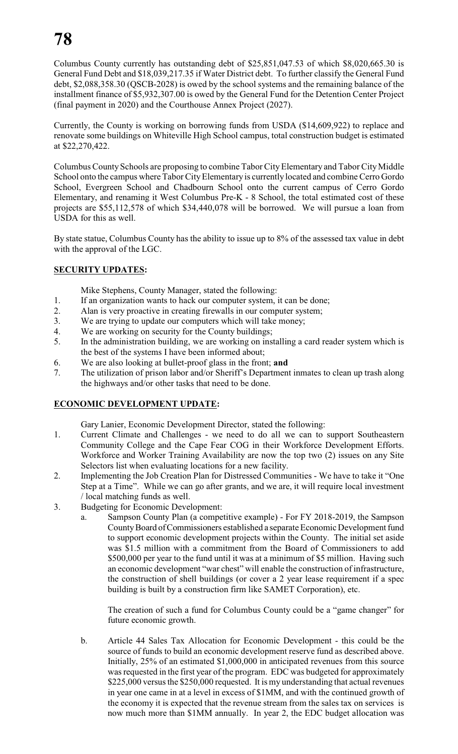Columbus County currently has outstanding debt of \$25,851,047.53 of which \$8,020,665.30 is General Fund Debt and \$18,039,217.35 if Water District debt. To further classify the General Fund debt, \$2,088,358.30 (QSCB-2028) is owed by the school systems and the remaining balance of the installment finance of \$5,932,307.00 is owed by the General Fund for the Detention Center Project (final payment in 2020) and the Courthouse Annex Project (2027).

Currently, the County is working on borrowing funds from USDA (\$14,609,922) to replace and renovate some buildings on Whiteville High School campus, total construction budget is estimated at \$22,270,422.

Columbus County Schools are proposing to combine Tabor City Elementary and Tabor City Middle School onto the campus where Tabor City Elementary is currently located and combine Cerro Gordo School, Evergreen School and Chadbourn School onto the current campus of Cerro Gordo Elementary, and renaming it West Columbus Pre-K - 8 School, the total estimated cost of these projects are \$55,112,578 of which \$34,440,078 will be borrowed. We will pursue a loan from USDA for this as well.

By state statue, Columbus County has the ability to issue up to 8% of the assessed tax value in debt with the approval of the LGC.

## **SECURITY UPDATES:**

Mike Stephens, County Manager, stated the following:

- 1. If an organization wants to hack our computer system, it can be done;
- 2. Alan is very proactive in creating firewalls in our computer system;
- 3. We are trying to update our computers which will take money;
- 4. We are working on security for the County buildings;
- 5. In the administration building, we are working on installing a card reader system which is the best of the systems I have been informed about;
- 6. We are also looking at bullet-proof glass in the front; **and**
- 7. The utilization of prison labor and/or Sheriff's Department inmates to clean up trash along the highways and/or other tasks that need to be done.

## **ECONOMIC DEVELOPMENT UPDATE:**

Gary Lanier, Economic Development Director, stated the following:

- 1. Current Climate and Challenges we need to do all we can to support Southeastern Community College and the Cape Fear COG in their Workforce Development Efforts. Workforce and Worker Training Availability are now the top two (2) issues on any Site Selectors list when evaluating locations for a new facility.
- 2. Implementing the Job Creation Plan for Distressed Communities We have to take it "One Step at a Time". While we can go after grants, and we are, it will require local investment / local matching funds as well.
- 3. Budgeting for Economic Development:
	- a. Sampson County Plan (a competitive example) For FY 2018-2019, the Sampson County Board of Commissioners established a separate Economic Development fund to support economic development projects within the County. The initial set aside was \$1.5 million with a commitment from the Board of Commissioners to add \$500,000 per year to the fund until it was at a minimum of \$5 million. Having such an economic development "war chest" will enable the construction of infrastructure, the construction of shell buildings (or cover a 2 year lease requirement if a spec building is built by a construction firm like SAMET Corporation), etc.

The creation of such a fund for Columbus County could be a "game changer" for future economic growth.

b. Article 44 Sales Tax Allocation for Economic Development - this could be the source of funds to build an economic development reserve fund as described above. Initially, 25% of an estimated \$1,000,000 in anticipated revenues from this source was requested in the first year of the program. EDC was budgeted for approximately \$225,000 versus the \$250,000 requested. It is my understanding that actual revenues in year one came in at a level in excess of \$1MM, and with the continued growth of the economy it is expected that the revenue stream from the sales tax on services is now much more than \$1MM annually. In year 2, the EDC budget allocation was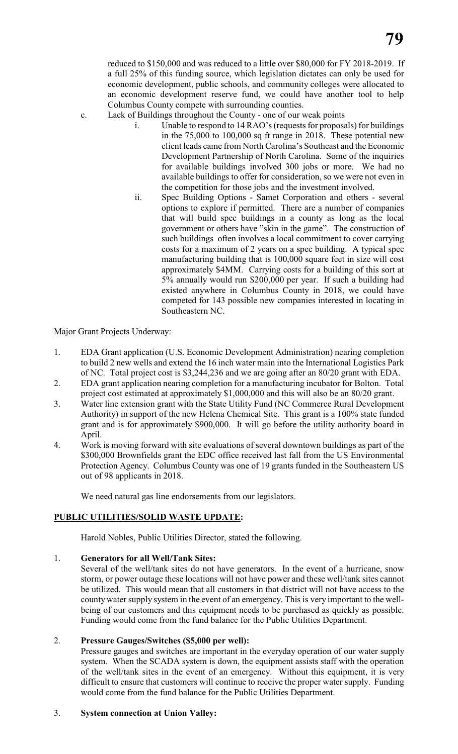reduced to \$150,000 and was reduced to a little over \$80,000 for FY 2018-2019. If a full 25% of this funding source, which legislation dictates can only be used for economic development, public schools, and community colleges were allocated to an economic development reserve fund, we could have another tool to help Columbus County compete with surrounding counties.

c. Lack of Buildings throughout the County - one of our weak points

- i. Unable to respond to 14 RAO's (requests for proposals) for buildings in the 75,000 to 100,000 sq ft range in 2018. These potential new client leads came from North Carolina's Southeast and the Economic Development Partnership of North Carolina. Some of the inquiries for available buildings involved 300 jobs or more. We had no available buildings to offer for consideration, so we were not even in the competition for those jobs and the investment involved.
- ii. Spec Building Options Samet Corporation and others several options to explore if permitted. There are a number of companies that will build spec buildings in a county as long as the local government or others have "skin in the game". The construction of such buildings often involves a local commitment to cover carrying costs for a maximum of 2 years on a spec building. A typical spec manufacturing building that is 100,000 square feet in size will cost approximately \$4MM. Carrying costs for a building of this sort at 5% annually would run \$200,000 per year. If such a building had existed anywhere in Columbus County in 2018, we could have competed for 143 possible new companies interested in locating in Southeastern NC.

Major Grant Projects Underway:

- 1. EDA Grant application (U.S. Economic Development Administration) nearing completion to build 2 new wells and extend the 16 inch water main into the International Logistics Park of NC. Total project cost is \$3,244,236 and we are going after an 80/20 grant with EDA.
- 2. EDA grant application nearing completion for a manufacturing incubator for Bolton. Total project cost estimated at approximately \$1,000,000 and this will also be an 80/20 grant.
- 3. Water line extension grant with the State Utility Fund (NC Commerce Rural Development Authority) in support of the new Helena Chemical Site. This grant is a 100% state funded grant and is for approximately \$900,000. It will go before the utility authority board in April.
- 4. Work is moving forward with site evaluations of several downtown buildings as part of the \$300,000 Brownfields grant the EDC office received last fall from the US Environmental Protection Agency. Columbus County was one of 19 grants funded in the Southeastern US out of 98 applicants in 2018.

We need natural gas line endorsements from our legislators.

## **PUBLIC UTILITIES/SOLID WASTE UPDATE:**

Harold Nobles, Public Utilities Director, stated the following.

## 1. **Generators for all Well/Tank Sites:**

Several of the well/tank sites do not have generators. In the event of a hurricane, snow storm, or power outage these locations will not have power and these well/tank sites cannot be utilized. This would mean that all customers in that district will not have access to the county water supply system in the event of an emergency. This is very important to the wellbeing of our customers and this equipment needs to be purchased as quickly as possible. Funding would come from the fund balance for the Public Utilities Department.

## 2. **Pressure Gauges/Switches (\$5,000 per well):**

Pressure gauges and switches are important in the everyday operation of our water supply system. When the SCADA system is down, the equipment assists staff with the operation of the well/tank sites in the event of an emergency. Without this equipment, it is very difficult to ensure that customers will continue to receive the proper water supply. Funding would come from the fund balance for the Public Utilities Department.

#### 3. **System connection at Union Valley:**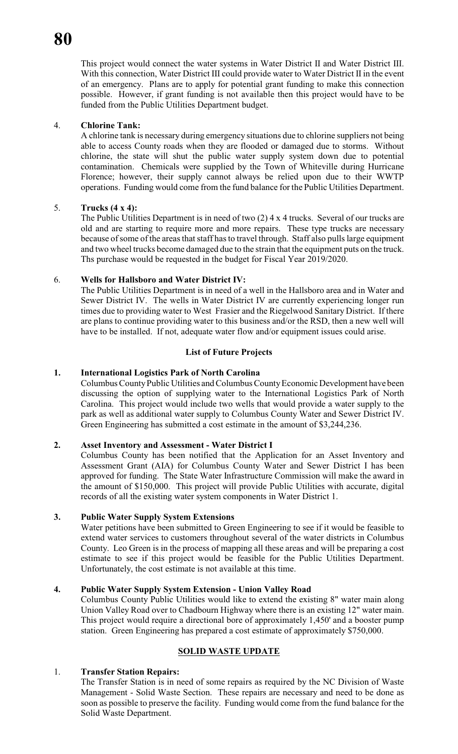This project would connect the water systems in Water District II and Water District III. With this connection, Water District III could provide water to Water District II in the event of an emergency. Plans are to apply for potential grant funding to make this connection possible. However, if grant funding is not available then this project would have to be funded from the Public Utilities Department budget.

#### 4. **Chlorine Tank:**

A chlorine tank is necessary during emergency situations due to chlorine suppliers not being able to access County roads when they are flooded or damaged due to storms. Without chlorine, the state will shut the public water supply system down due to potential contamination. Chemicals were supplied by the Town of Whiteville during Hurricane Florence; however, their supply cannot always be relied upon due to their WWTP operations. Funding would come from the fund balance for the Public Utilities Department.

### 5. **Trucks (4 x 4):**

The Public Utilities Department is in need of two (2) 4 x 4 trucks. Several of our trucks are old and are starting to require more and more repairs. These type trucks are necessary because of some of the areas that staff has to travel through. Staff also pulls large equipment and two wheel trucks become damaged due to the strain that the equipment puts on the truck. Ths purchase would be requested in the budget for Fiscal Year 2019/2020.

#### 6. **Wells for Hallsboro and Water District IV:**

The Public Utilities Department is in need of a well in the Hallsboro area and in Water and Sewer District IV. The wells in Water District IV are currently experiencing longer run times due to providing water to West Frasier and the Riegelwood Sanitary District. If there are plans to continue providing water to this business and/or the RSD, then a new well will have to be installed. If not, adequate water flow and/or equipment issues could arise.

### **List of Future Projects**

### **1. International Logistics Park of North Carolina**

Columbus County Public Utilities and Columbus County Economic Development have been discussing the option of supplying water to the International Logistics Park of North Carolina. This project would include two wells that would provide a water supply to the park as well as additional water supply to Columbus County Water and Sewer District IV. Green Engineering has submitted a cost estimate in the amount of \$3,244,236.

#### **2. Asset Inventory and Assessment - Water District I**

Columbus County has been notified that the Application for an Asset Inventory and Assessment Grant (AIA) for Columbus County Water and Sewer District I has been approved for funding. The State Water Infrastructure Commission will make the award in the amount of \$150,000. This project will provide Public Utilities with accurate, digital records of all the existing water system components in Water District 1.

#### **3. Public Water Supply System Extensions**

Water petitions have been submitted to Green Engineering to see if it would be feasible to extend water services to customers throughout several of the water districts in Columbus County. Leo Green is in the process of mapping all these areas and will be preparing a cost estimate to see if this project would be feasible for the Public Utilities Department. Unfortunately, the cost estimate is not available at this time.

#### **4. Public Water Supply System Extension - Union Valley Road**

Columbus County Public Utilities would like to extend the existing 8" water main along Union Valley Road over to Chadbourn Highway where there is an existing 12" water main. This project would require a directional bore of approximately 1,450' and a booster pump station. Green Engineering has prepared a cost estimate of approximately \$750,000.

## **SOLID WASTE UPDATE**

#### 1. **Transfer Station Repairs:**

The Transfer Station is in need of some repairs as required by the NC Division of Waste Management - Solid Waste Section. These repairs are necessary and need to be done as soon as possible to preserve the facility. Funding would come from the fund balance for the Solid Waste Department.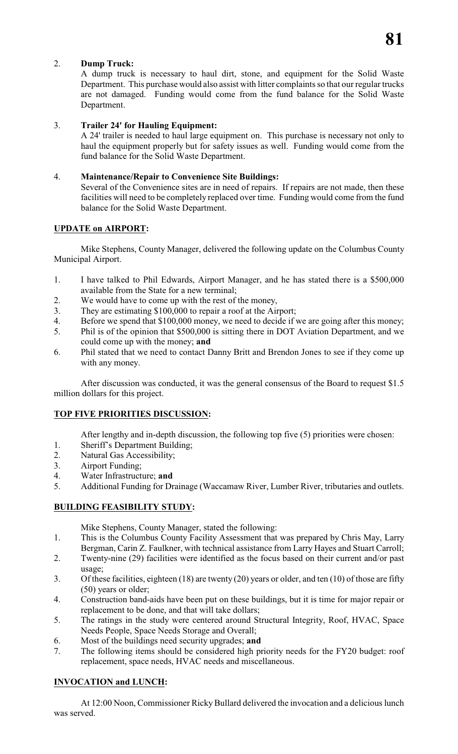## 2. **Dump Truck:**

A dump truck is necessary to haul dirt, stone, and equipment for the Solid Waste Department. This purchase would also assist with litter complaints so that our regular trucks are not damaged. Funding would come from the fund balance for the Solid Waste Department.

## 3. **Trailer 24' for Hauling Equipment:**

A 24' trailer is needed to haul large equipment on. This purchase is necessary not only to haul the equipment properly but for safety issues as well. Funding would come from the fund balance for the Solid Waste Department.

### 4. **Maintenance/Repair to Convenience Site Buildings:**

Several of the Convenience sites are in need of repairs. If repairs are not made, then these facilities will need to be completely replaced over time. Funding would come from the fund balance for the Solid Waste Department.

## **UPDATE on AIRPORT:**

Mike Stephens, County Manager, delivered the following update on the Columbus County Municipal Airport.

- 1. I have talked to Phil Edwards, Airport Manager, and he has stated there is a \$500,000 available from the State for a new terminal;
- 2. We would have to come up with the rest of the money,
- 3. They are estimating \$100,000 to repair a roof at the Airport;
- 4. Before we spend that \$100,000 money, we need to decide if we are going after this money;
- 5. Phil is of the opinion that \$500,000 is sitting there in DOT Aviation Department, and we could come up with the money; **and**
- 6. Phil stated that we need to contact Danny Britt and Brendon Jones to see if they come up with any money.

After discussion was conducted, it was the general consensus of the Board to request \$1.5 million dollars for this project.

## **TOP FIVE PRIORITIES DISCUSSION:**

After lengthy and in-depth discussion, the following top five (5) priorities were chosen:

- 1. Sheriff's Department Building;
- 2. Natural Gas Accessibility;
- 3. Airport Funding;
- 4. Water Infrastructure; **and**
- 5. Additional Funding for Drainage (Waccamaw River, Lumber River, tributaries and outlets.

## **BUILDING FEASIBILITY STUDY:**

Mike Stephens, County Manager, stated the following:

- 1. This is the Columbus County Facility Assessment that was prepared by Chris May, Larry Bergman, Carin Z. Faulkner, with technical assistance from Larry Hayes and Stuart Carroll;
- 2. Twenty-nine (29) facilities were identified as the focus based on their current and/or past usage;
- 3. Of these facilities, eighteen (18) are twenty (20) years or older, and ten (10) of those are fifty (50) years or older;
- 4. Construction band-aids have been put on these buildings, but it is time for major repair or replacement to be done, and that will take dollars;
- 5. The ratings in the study were centered around Structural Integrity, Roof, HVAC, Space Needs People, Space Needs Storage and Overall;
- 6. Most of the buildings need security upgrades; **and**
- 7. The following items should be considered high priority needs for the FY20 budget: roof replacement, space needs, HVAC needs and miscellaneous.

## **INVOCATION and LUNCH:**

At 12:00 Noon, Commissioner Ricky Bullard delivered the invocation and a delicious lunch was served.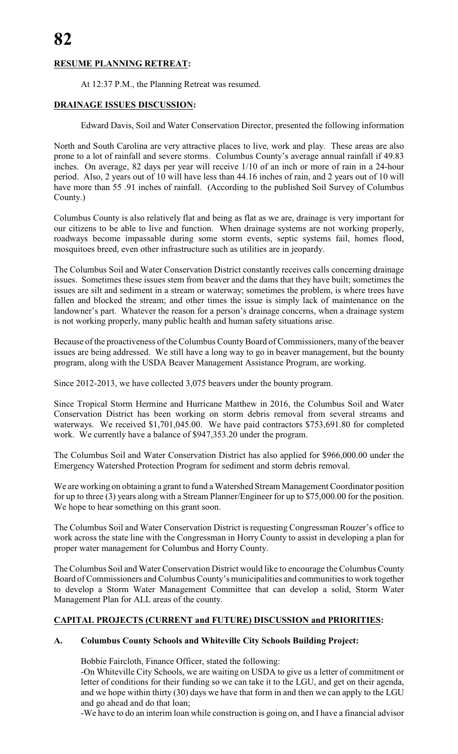# **RESUME PLANNING RETREAT:**

At 12:37 P.M., the Planning Retreat was resumed.

## **DRAINAGE ISSUES DISCUSSION:**

Edward Davis, Soil and Water Conservation Director, presented the following information

North and South Carolina are very attractive places to live, work and play. These areas are also prone to a lot of rainfall and severe storms. Columbus County's average annual rainfall if 49.83 inches. On average, 82 days per year will receive 1/10 of an inch or more of rain in a 24-hour period. Also, 2 years out of 10 will have less than 44.16 inches of rain, and 2 years out of 10 will have more than 55 .91 inches of rainfall. (According to the published Soil Survey of Columbus County.)

Columbus County is also relatively flat and being as flat as we are, drainage is very important for our citizens to be able to live and function. When drainage systems are not working properly, roadways become impassable during some storm events, septic systems fail, homes flood, mosquitoes breed, even other infrastructure such as utilities are in jeopardy.

The Columbus Soil and Water Conservation District constantly receives calls concerning drainage issues. Sometimes these issues stem from beaver and the dams that they have built; sometimes the issues are silt and sediment in a stream or waterway; sometimes the problem, is where trees have fallen and blocked the stream; and other times the issue is simply lack of maintenance on the landowner's part. Whatever the reason for a person's drainage concerns, when a drainage system is not working properly, many public health and human safety situations arise.

Because of the proactiveness of the Columbus County Board of Commissioners, many of the beaver issues are being addressed. We still have a long way to go in beaver management, but the bounty program, along with the USDA Beaver Management Assistance Program, are working.

Since 2012-2013, we have collected 3,075 beavers under the bounty program.

Since Tropical Storm Hermine and Hurricane Matthew in 2016, the Columbus Soil and Water Conservation District has been working on storm debris removal from several streams and waterways. We received \$1,701,045.00. We have paid contractors \$753,691.80 for completed work. We currently have a balance of \$947,353.20 under the program.

The Columbus Soil and Water Conservation District has also applied for \$966,000.00 under the Emergency Watershed Protection Program for sediment and storm debris removal.

We are working on obtaining a grant to fund a Watershed Stream Management Coordinator position for up to three (3) years along with a Stream Planner/Engineer for up to \$75,000.00 for the position. We hope to hear something on this grant soon.

The Columbus Soil and Water Conservation District is requesting Congressman Rouzer's office to work across the state line with the Congressman in Horry County to assist in developing a plan for proper water management for Columbus and Horry County.

The Columbus Soil and Water Conservation District would like to encourage the Columbus County Board of Commissioners and Columbus County's municipalities and communities to work together to develop a Storm Water Management Committee that can develop a solid, Storm Water Management Plan for ALL areas of the county.

## **CAPITAL PROJECTS (CURRENT and FUTURE) DISCUSSION and PRIORITIES:**

## **A. Columbus County Schools and Whiteville City Schools Building Project:**

Bobbie Faircloth, Finance Officer, stated the following:

-On Whiteville City Schools, we are waiting on USDA to give us a letter of commitment or letter of conditions for their funding so we can take it to the LGU, and get on their agenda, and we hope within thirty (30) days we have that form in and then we can apply to the LGU and go ahead and do that loan;

-We have to do an interim loan while construction is going on, and I have a financial advisor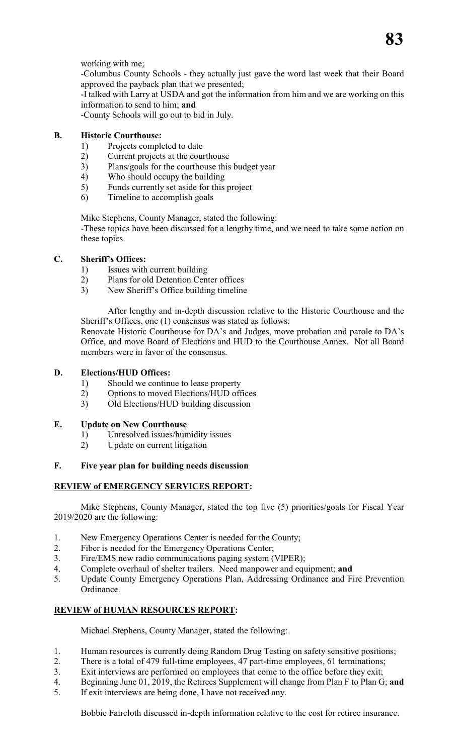working with me;

-Columbus County Schools - they actually just gave the word last week that their Board approved the payback plan that we presented;

-I talked with Larry at USDA and got the information from him and we are working on this information to send to him; **and**

-County Schools will go out to bid in July.

### **B. Historic Courthouse:**

- 1) Projects completed to date
- 2) Current projects at the courthouse
- 3) Plans/goals for the courthouse this budget year
- 4) Who should occupy the building
- 5) Funds currently set aside for this project
- 6) Timeline to accomplish goals

Mike Stephens, County Manager, stated the following:

-These topics have been discussed for a lengthy time, and we need to take some action on these topics.

#### **C. Sheriff's Offices:**

- 1) Issues with current building
- 2) Plans for old Detention Center offices
- 3) New Sheriff's Office building timeline

After lengthy and in-depth discussion relative to the Historic Courthouse and the Sheriff's Offices, one (1) consensus was stated as follows:

Renovate Historic Courthouse for DA's and Judges, move probation and parole to DA's Office, and move Board of Elections and HUD to the Courthouse Annex. Not all Board members were in favor of the consensus.

#### **D. Elections/HUD Offices:**

- 1) Should we continue to lease property
- 2) Options to moved Elections/HUD offices
- 3) Old Elections/HUD building discussion

#### **E. Update on New Courthouse**

- 1) Unresolved issues/humidity issues
- 2) Update on current litigation

#### **F. Five year plan for building needs discussion**

#### **REVIEW of EMERGENCY SERVICES REPORT:**

Mike Stephens, County Manager, stated the top five (5) priorities/goals for Fiscal Year 2019/2020 are the following:

- 1. New Emergency Operations Center is needed for the County;
- 2. Fiber is needed for the Emergency Operations Center;
- 3. Fire/EMS new radio communications paging system (VIPER);
- 4. Complete overhaul of shelter trailers. Need manpower and equipment; **and**
- 5. Update County Emergency Operations Plan, Addressing Ordinance and Fire Prevention Ordinance.

## **REVIEW of HUMAN RESOURCES REPORT:**

Michael Stephens, County Manager, stated the following:

- 1. Human resources is currently doing Random Drug Testing on safety sensitive positions;
- 2. There is a total of 479 full-time employees, 47 part-time employees, 61 terminations;
- 3. Exit interviews are performed on employees that come to the office before they exit;
- 4. Beginning June 01, 2019, the Retirees Supplement will change from Plan F to Plan G; **and**
- 5. If exit interviews are being done, I have not received any.

Bobbie Faircloth discussed in-depth information relative to the cost for retiree insurance.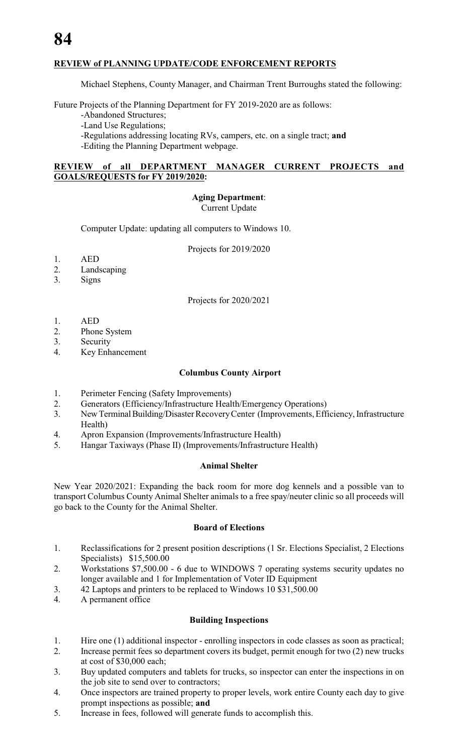## **REVIEW of PLANNING UPDATE/CODE ENFORCEMENT REPORTS**

Michael Stephens, County Manager, and Chairman Trent Burroughs stated the following:

Future Projects of the Planning Department for FY 2019-2020 are as follows:

-Abandoned Structures;

-Land Use Regulations;

-Regulations addressing locating RVs, campers, etc. on a single tract; **and**

-Editing the Planning Department webpage.

#### **REVIEW of all DEPARTMENT MANAGER CURRENT PROJECTS and GOALS/REQUESTS for FY 2019/2020:**

**Aging Department**:

Current Update

Computer Update: updating all computers to Windows 10.

Projects for 2019/2020

- 1. AED
- 2. Landscaping
- 3. Signs

Projects for 2020/2021

- 1. AED
- 2. Phone System
- 3. Security
- 4. Key Enhancement

#### **Columbus County Airport**

- 1. Perimeter Fencing (Safety Improvements)
- 2. Generators (Efficiency/Infrastructure Health/Emergency Operations)
- 3. New Terminal Building/Disaster Recovery Center (Improvements, Efficiency, Infrastructure Health)
- 4. Apron Expansion (Improvements/Infrastructure Health)
- 5. Hangar Taxiways (Phase II) (Improvements/Infrastructure Health)

#### **Animal Shelter**

New Year 2020/2021: Expanding the back room for more dog kennels and a possible van to transport Columbus County Animal Shelter animals to a free spay/neuter clinic so all proceeds will go back to the County for the Animal Shelter.

#### **Board of Elections**

- 1. Reclassifications for 2 present position descriptions (1 Sr. Elections Specialist, 2 Elections Specialists) \$15,500.00
- 2. Workstations \$7,500.00 6 due to WINDOWS 7 operating systems security updates no longer available and 1 for Implementation of Voter ID Equipment
- 3. 42 Laptops and printers to be replaced to Windows 10 \$31,500.00
- 4. A permanent office

#### **Building Inspections**

- 1. Hire one (1) additional inspector enrolling inspectors in code classes as soon as practical;
- 2. Increase permit fees so department covers its budget, permit enough for two (2) new trucks at cost of \$30,000 each;
- 3. Buy updated computers and tablets for trucks, so inspector can enter the inspections in on the job site to send over to contractors;
- 4. Once inspectors are trained property to proper levels, work entire County each day to give prompt inspections as possible; **and**
- 5. Increase in fees, followed will generate funds to accomplish this.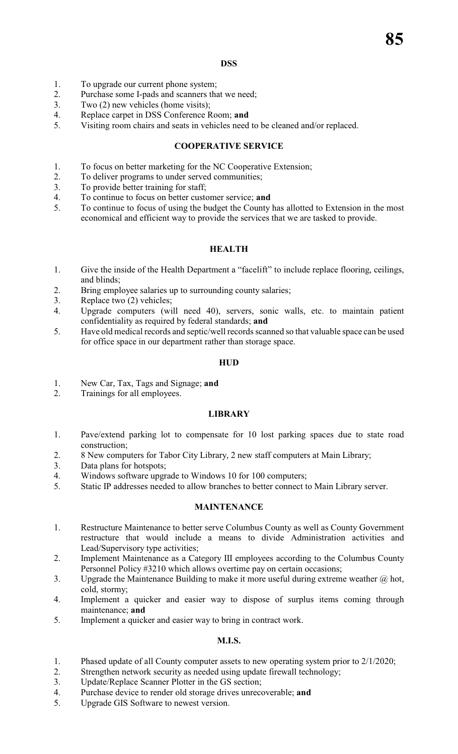#### **DSS**

- 1. To upgrade our current phone system;<br>2. Purchase some I-pads and scanners that
- 2. Purchase some I-pads and scanners that we need;<br>3. Two (2) new vehicles (home visits):
- Two (2) new vehicles (home visits);
- 4. Replace carpet in DSS Conference Room; **and**
- 5. Visiting room chairs and seats in vehicles need to be cleaned and/or replaced.

### **COOPERATIVE SERVICE**

- 1. To focus on better marketing for the NC Cooperative Extension;
- 2. To deliver programs to under served communities;
- 3. To provide better training for staff;
- 4. To continue to focus on better customer service; **and**<br>5. To continue to focus of using the budget the County
- To continue to focus of using the budget the County has allotted to Extension in the most economical and efficient way to provide the services that we are tasked to provide.

### **HEALTH**

- 1. Give the inside of the Health Department a "facelift" to include replace flooring, ceilings, and blinds;
- 2. Bring employee salaries up to surrounding county salaries;
- 3. Replace two (2) vehicles;
- 4. Upgrade computers (will need 40), servers, sonic walls, etc. to maintain patient confidentiality as required by federal standards; **and**
- 5. Have old medical records and septic/well records scanned so that valuable space can be used for office space in our department rather than storage space.

#### **HUD**

- 1. New Car, Tax, Tags and Signage; **and**
- 2. Trainings for all employees.

## **LIBRARY**

- 1. Pave/extend parking lot to compensate for 10 lost parking spaces due to state road construction;
- 2. 8 New computers for Tabor City Library, 2 new staff computers at Main Library;
- 3. Data plans for hotspots;
- 4. Windows software upgrade to Windows 10 for 100 computers;
- 5. Static IP addresses needed to allow branches to better connect to Main Library server.

#### **MAINTENANCE**

- 1. Restructure Maintenance to better serve Columbus County as well as County Government restructure that would include a means to divide Administration activities and Lead/Supervisory type activities;
- 2. Implement Maintenance as a Category III employees according to the Columbus County Personnel Policy #3210 which allows overtime pay on certain occasions;
- 3. Upgrade the Maintenance Building to make it more useful during extreme weather @ hot, cold, stormy;
- 4. Implement a quicker and easier way to dispose of surplus items coming through maintenance; **and**
- 5. Implement a quicker and easier way to bring in contract work.

## **M.I.S.**

- 1. Phased update of all County computer assets to new operating system prior to 2/1/2020;
- 2. Strengthen network security as needed using update firewall technology;
- 3. Update/Replace Scanner Plotter in the GS section;
- 4. Purchase device to render old storage drives unrecoverable; **and**
- 5. Upgrade GIS Software to newest version.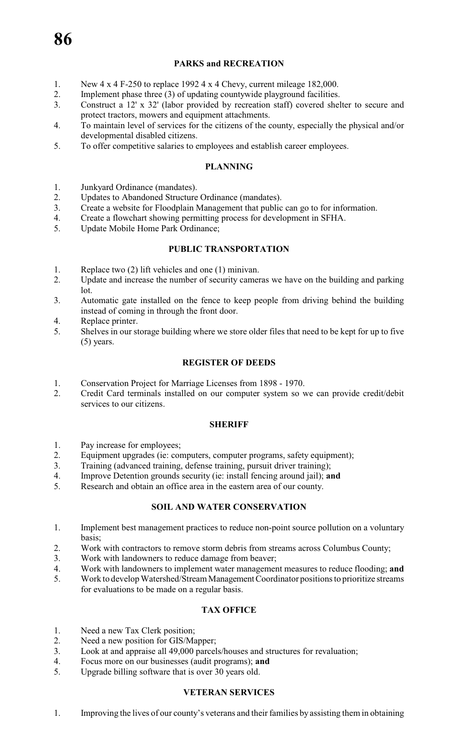# **PARKS and RECREATION**

- 1. New 4 x 4 F-250 to replace 1992 4 x 4 Chevy, current mileage 182,000.<br>2. Implement phase three (3) of undating countywide playeround facilities.
- 2. Implement phase three (3) of updating countywide playground facilities.<br>2. Construct a 12' x 32' (labor provided by recreation staff) covered shell
- 3. Construct a 12' x 32' (labor provided by recreation staff) covered shelter to secure and protect tractors, mowers and equipment attachments.
- 4. To maintain level of services for the citizens of the county, especially the physical and/or developmental disabled citizens.
- 5. To offer competitive salaries to employees and establish career employees.

#### **PLANNING**

- 1. Junkyard Ordinance (mandates).
- 2. Updates to Abandoned Structure Ordinance (mandates).
- 3. Create a website for Floodplain Management that public can go to for information.
- 4. Create a flowchart showing permitting process for development in SFHA.
- 5. Update Mobile Home Park Ordinance;

#### **PUBLIC TRANSPORTATION**

- 1. Replace two (2) lift vehicles and one (1) minivan.
- 2. Update and increase the number of security cameras we have on the building and parking lot.
- 3. Automatic gate installed on the fence to keep people from driving behind the building instead of coming in through the front door.
- 4. Replace printer.
- 5. Shelves in our storage building where we store older files that need to be kept for up to five (5) years.

#### **REGISTER OF DEEDS**

- 1. Conservation Project for Marriage Licenses from 1898 1970.
- 2. Credit Card terminals installed on our computer system so we can provide credit/debit services to our citizens.

#### **SHERIFF**

- 1. Pay increase for employees;
- 2. Equipment upgrades (ie: computers, computer programs, safety equipment);
- 3. Training (advanced training, defense training, pursuit driver training);
- 4. Improve Detention grounds security (ie: install fencing around jail); **and**<br>5. Research and obtain an office area in the eastern area of our county.
- Research and obtain an office area in the eastern area of our county.

#### **SOIL AND WATER CONSERVATION**

- 1. Implement best management practices to reduce non-point source pollution on a voluntary basis;
- 2. Work with contractors to remove storm debris from streams across Columbus County;
- 3. Work with landowners to reduce damage from beaver;
- 4. Work with landowners to implement water management measures to reduce flooding; **and**
- 5. Work to develop Watershed/Stream Management Coordinator positions to prioritize streams for evaluations to be made on a regular basis.

#### **TAX OFFICE**

- 1. Need a new Tax Clerk position;
- 2. Need a new position for GIS/Mapper;
- 3. Look at and appraise all 49,000 parcels/houses and structures for revaluation;
- 4. Focus more on our businesses (audit programs); **and**
- 5. Upgrade billing software that is over 30 years old.

#### **VETERAN SERVICES**

1. Improving the lives of our county's veterans and their families by assisting them in obtaining